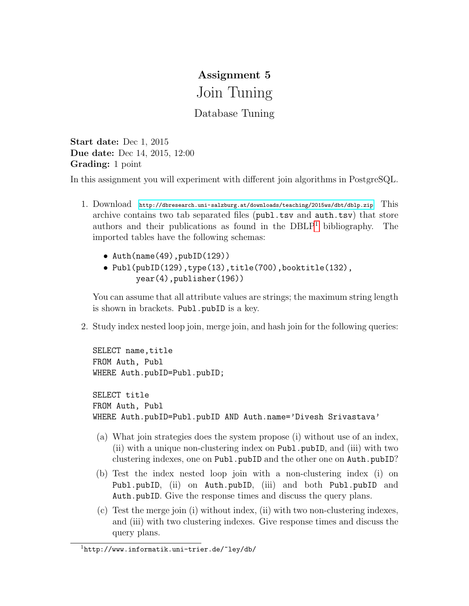## Assignment 5 Join Tuning

## Database Tuning

Start date: Dec 1, 2015 Due date: Dec 14, 2015, 12:00 Grading: 1 point

In this assignment you will experiment with different join algorithms in PostgreSQL.

- 1. Download <http://dbresearch.uni-salzburg.at/downloads/teaching/2015ws/dbt/dblp.zip> This archive contains two tab separated files (publ.tsv and auth.tsv) that store authors and their publications as found in the  $DBLP<sup>1</sup>$  $DBLP<sup>1</sup>$  $DBLP<sup>1</sup>$  bibliography. The imported tables have the following schemas:
	- Auth(name(49),pubID(129))
	- Publ(pubID(129),type(13),title(700),booktitle(132), year(4),publisher(196))

You can assume that all attribute values are strings; the maximum string length is shown in brackets. Publ.pubID is a key.

2. Study index nested loop join, merge join, and hash join for the following queries:

```
SELECT name, title
FROM Auth, Publ
WHERE Auth.pubID=Publ.pubID;
SELECT title
FROM Auth, Publ
WHERE Auth.pubID=Publ.pubID AND Auth.name='Divesh Srivastava'
```
- (a) What join strategies does the system propose (i) without use of an index, (ii) with a unique non-clustering index on Publ.pubID, and (iii) with two clustering indexes, one on Publ.pubID and the other one on Auth.pubID?
- (b) Test the index nested loop join with a non-clustering index (i) on Publ.pubID, (ii) on Auth.pubID, (iii) and both Publ.pubID and Auth.pubID. Give the response times and discuss the query plans.
- (c) Test the merge join (i) without index, (ii) with two non-clustering indexes, and (iii) with two clustering indexes. Give response times and discuss the query plans.

<span id="page-0-0"></span><sup>1</sup>http://www.informatik.uni-trier.de/~ley/db/